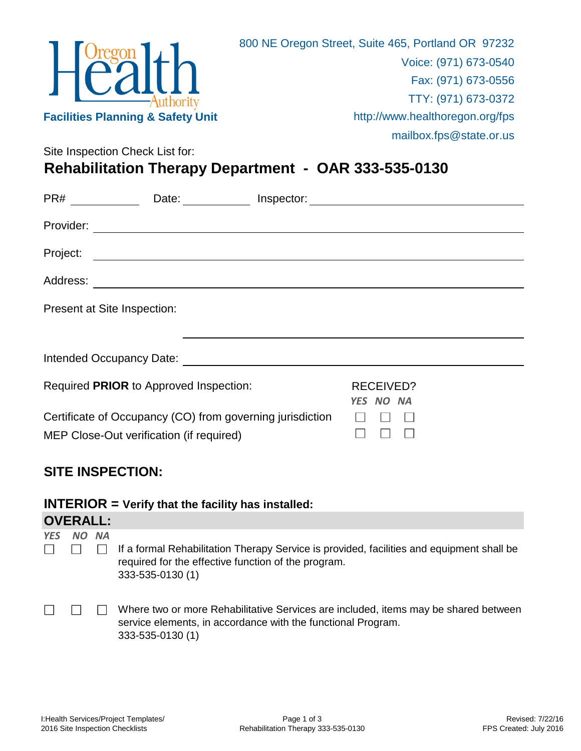

Site Inspection Check List for: **Rehabilitation Therapy Department - OAR 333-535-0130**

| PR#       | Date: Inspector:                                                                                      |           |  |
|-----------|-------------------------------------------------------------------------------------------------------|-----------|--|
| Provider: |                                                                                                       |           |  |
| Project:  | <u> 1989 - Johann John Stein, markin sanadi a shekara 1989 - An tsa mashrida</u>                      |           |  |
| Address:  |                                                                                                       |           |  |
|           | Present at Site Inspection:                                                                           |           |  |
|           |                                                                                                       |           |  |
|           | Intended Occupancy Date:                                                                              |           |  |
|           | Required PRIOR to Approved Inspection:                                                                | RECEIVED? |  |
|           | Certificate of Occupancy (CO) from governing jurisdiction<br>MEP Close-Out verification (if required) | YES NO NA |  |

## **SITE INSPECTION:**

**INTERIOR = Verify that the facility has installed:**

|            | <b>OVERALL:</b> |           |                                                                                                                                                                         |
|------------|-----------------|-----------|-------------------------------------------------------------------------------------------------------------------------------------------------------------------------|
| <b>YES</b> | NO.             | <b>NA</b> |                                                                                                                                                                         |
|            |                 |           | If a formal Rehabilitation Therapy Service is provided, facilities and equipment shall be<br>required for the effective function of the program.<br>333-535-0130 (1)    |
|            |                 |           | Where two or more Rehabilitative Services are included, items may be shared between<br>service elements, in accordance with the functional Program.<br>333-535-0130 (1) |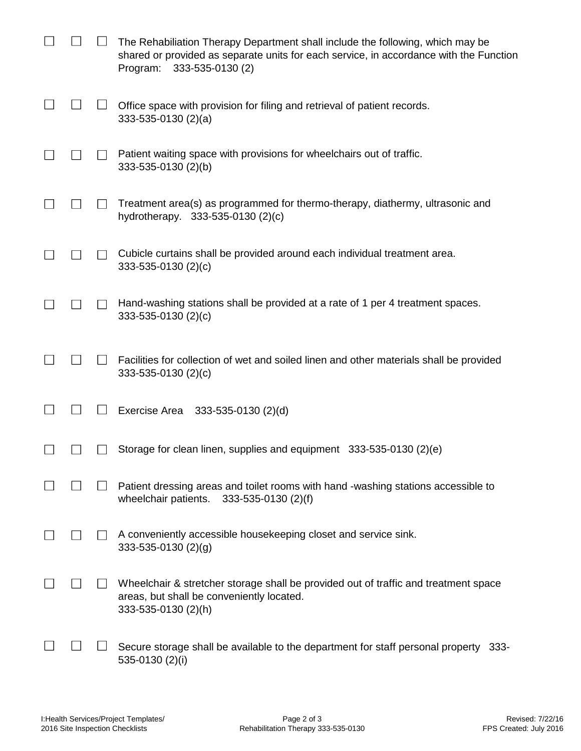|  | The Rehabiliation Therapy Department shall include the following, which may be<br>shared or provided as separate units for each service, in accordance with the Function<br>333-535-0130 (2)<br>Program: |
|--|----------------------------------------------------------------------------------------------------------------------------------------------------------------------------------------------------------|
|  | Office space with provision for filing and retrieval of patient records.<br>$333 - 535 - 0130$ (2)(a)                                                                                                    |
|  | Patient waiting space with provisions for wheelchairs out of traffic.<br>333-535-0130 (2)(b)                                                                                                             |
|  | Treatment area(s) as programmed for thermo-therapy, diathermy, ultrasonic and<br>hydrotherapy. 333-535-0130 (2)(c)                                                                                       |
|  | Cubicle curtains shall be provided around each individual treatment area.<br>333-535-0130 (2)(c)                                                                                                         |
|  | Hand-washing stations shall be provided at a rate of 1 per 4 treatment spaces.<br>333-535-0130 (2)(c)                                                                                                    |
|  | Facilities for collection of wet and soiled linen and other materials shall be provided<br>333-535-0130 (2)(c)                                                                                           |
|  | Exercise Area<br>333-535-0130 (2)(d)                                                                                                                                                                     |
|  | Storage for clean linen, supplies and equipment 333-535-0130 (2)(e)                                                                                                                                      |
|  | Patient dressing areas and toilet rooms with hand -washing stations accessible to<br>wheelchair patients.<br>$333 - 535 - 0130$ (2)(f)                                                                   |
|  | A conveniently accessible housekeeping closet and service sink.<br>$333 - 535 - 0130(2)(q)$                                                                                                              |
|  | Wheelchair & stretcher storage shall be provided out of traffic and treatment space<br>areas, but shall be conveniently located.<br>333-535-0130 (2)(h)                                                  |
|  | Secure storage shall be available to the department for staff personal property 333-<br>535-0130 (2)(i)                                                                                                  |